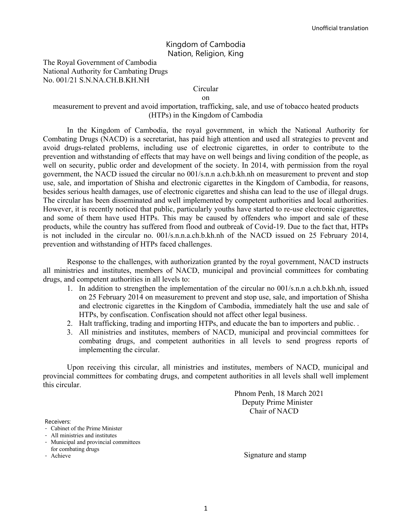## Kingdom of Cambodia Nation, Religion, King

The Royal Government of Cambodia National Authority for Cambating Drugs No. 001/21 S.N.NA.CH.B.KH.NH

## Circular

## on

## measurement to prevent and avoid importation, trafficking, sale, and use of tobacco heated products (HTPs) in the Kingdom of Cambodia

In the Kingdom of Cambodia, the royal government, in which the National Authority for Combating Drugs (NACD) is a secretariat, has paid high attention and used all strategies to prevent and avoid drugs-related problems, including use of electronic cigarettes, in order to contribute to the prevention and withstanding of effects that may have on well beings and living condition of the people, as well on security, public order and development of the society. In 2014, with permission from the royal government, the NACD issued the circular no 001/s.n.n a.ch.b.kh.nh on measurement to prevent and stop use, sale, and importation of Shisha and electronic cigarettes in the Kingdom of Cambodia, for reasons, besides serious health damages, use of electronic cigarettes and shisha can lead to the use of illegal drugs. The circular has been disseminated and well implemented by competent authorities and local authorities. However, it is recently noticed that public, particularly youths have started to re-use electronic cigarettes, and some of them have used HTPs. This may be caused by offenders who import and sale of these products, while the country has suffered from flood and outbreak of Covid-19. Due to the fact that, HTPs is not included in the circular no. 001/s.n.n.a.ch.b.kh.nh of the NACD issued on 25 February 2014, prevention and withstanding of HTPs faced challenges.

Response to the challenges, with authorization granted by the royal government, NACD instructs all ministries and institutes, members of NACD, municipal and provincial committees for combating drugs, and competent authorities in all levels to:

- 1. In addition to strengthen the implementation of the circular no 001/s.n.n a.ch.b.kh.nh, issued on 25 February 2014 on measurement to prevent and stop use, sale, and importation of Shisha and electronic cigarettes in the Kingdom of Cambodia, immediately halt the use and sale of HTPs, by confiscation. Confiscation should not affect other legal business.
- 2. Halt trafficking, trading and importing HTPs, and educate the ban to importers and public. .
- 3. All ministries and institutes, members of NACD, municipal and provincial committees for combating drugs, and competent authorities in all levels to send progress reports of implementing the circular.

Upon receiving this circular, all ministries and institutes, members of NACD, municipal and provincial committees for combating drugs, and competent authorities in all levels shall well implement this circular.

> Phnom Penh, 18 March 2021 Deputy Prime Minister Chair of NACD

Receivers:

- Cabinet of the Prime Minister
- All ministries and institutes
- Municipal and provincial committees
- for combating drugs
- Achieve

Signature and stamp